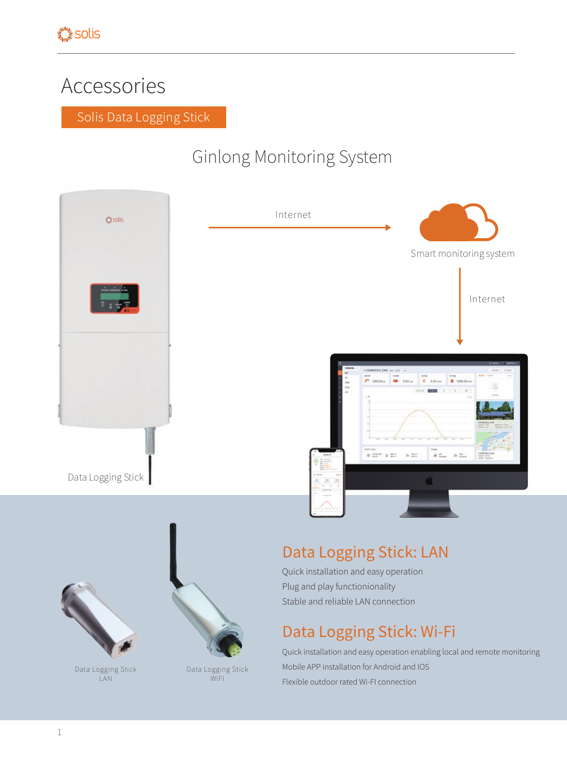## Accessories

Solis Data Logging Stick

## Ginlong Monitoring System